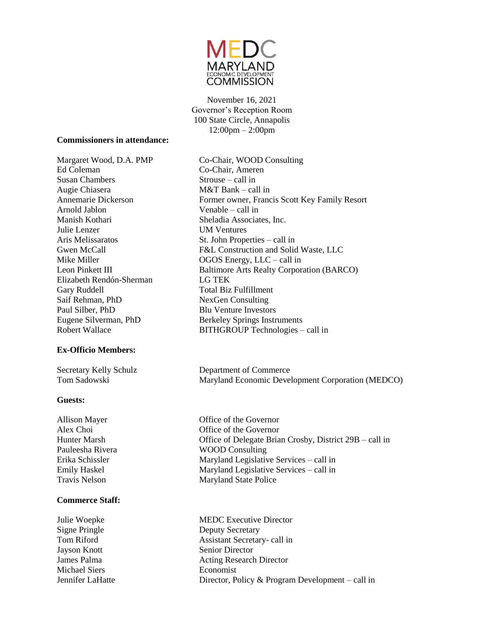

November 16, 2021 Governor's Reception Room 100 State Circle, Annapolis 12:00pm – 2:00pm

#### **Commissioners in attendance:**

Ed Coleman Co-Chair, Ameren Susan Chambers Strouse – call in Augie Chiasera M&T Bank – call in Arnold Jablon Venable – call in Manish Kothari Sheladia Associates, Inc. Julie Lenzer UM Ventures Aris Melissaratos St. John Properties – call in Elizabeth Rendón-Sherman LG TEK Gary Ruddell **Total Biz Fulfillment** Saif Rehman, PhD NexGen Consulting Paul Silber, PhD Blu Venture Investors

#### **Ex-Officio Members:**

#### **Guests:**

#### **Commerce Staff:**

**Jayson Knott** Senior Director Michael Siers **Economist** 

Margaret Wood, D.A. PMP Co-Chair, WOOD Consulting Annemarie Dickerson Former owner, Francis Scott Key Family Resort Gwen McCall F&L Construction and Solid Waste, LLC Mike Miller **OGOS** Energy, LLC – call in Leon Pinkett III Baltimore Arts Realty Corporation (BARCO) Eugene Silverman, PhD Berkeley Springs Instruments Robert Wallace BITHGROUP Technologies – call in

Secretary Kelly Schulz Department of Commerce Tom Sadowski Maryland Economic Development Corporation (MEDCO)

Allison Mayer **Office** of the Governor Alex Choi Office of the Governor Hunter Marsh Office of Delegate Brian Crosby, District 29B – call in Pauleesha Rivera WOOD Consulting Erika Schissler Maryland Legislative Services – call in Emily Haskel Maryland Legislative Services – call in Travis Nelson Maryland State Police

Julie Woepke MEDC Executive Director Signe Pringle Deputy Secretary Tom Riford **Assistant Secretary- call in** James Palma **Acting Research Director** Jennifer LaHatte Director, Policy & Program Development – call in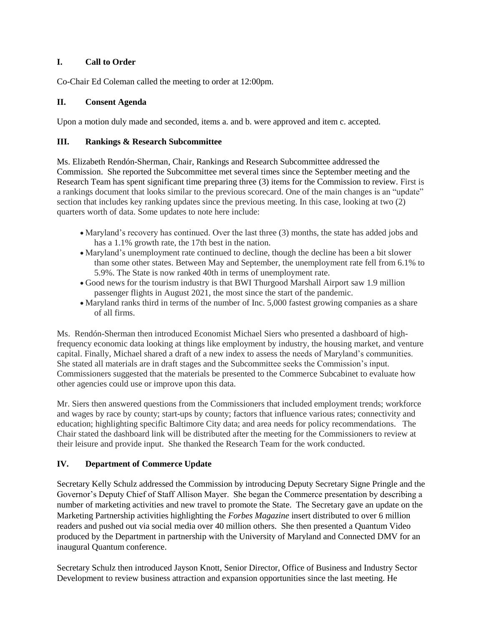## **I. Call to Order**

Co-Chair Ed Coleman called the meeting to order at 12:00pm.

### **II. Consent Agenda**

Upon a motion duly made and seconded, items a. and b. were approved and item c. accepted.

#### **III. Rankings & Research Subcommittee**

Ms. Elizabeth Rendón-Sherman*,* Chair, Rankings and Research Subcommittee addressed the Commission. She reported the Subcommittee met several times since the September meeting and the Research Team has spent significant time preparing three (3) items for the Commission to review. First is a rankings document that looks similar to the previous scorecard. One of the main changes is an "update" section that includes key ranking updates since the previous meeting. In this case, looking at two (2) quarters worth of data. Some updates to note here include:

- Maryland's recovery has continued. Over the last three (3) months, the state has added jobs and has a 1.1% growth rate, the 17th best in the nation.
- Maryland's unemployment rate continued to decline, though the decline has been a bit slower than some other states. Between May and September, the unemployment rate fell from 6.1% to 5.9%. The State is now ranked 40th in terms of unemployment rate.
- Good news for the tourism industry is that BWI Thurgood Marshall Airport saw 1.9 million passenger flights in August 2021, the most since the start of the pandemic.
- Maryland ranks third in terms of the number of Inc. 5,000 fastest growing companies as a share of all firms.

Ms. Rendón-Sherman then introduced Economist Michael Siers who presented a dashboard of highfrequency economic data looking at things like employment by industry, the housing market, and venture capital. Finally, Michael shared a draft of a new index to assess the needs of Maryland's communities. She stated all materials are in draft stages and the Subcommittee seeks the Commission's input. Commissioners suggested that the materials be presented to the Commerce Subcabinet to evaluate how other agencies could use or improve upon this data.

Mr. Siers then answered questions from the Commissioners that included employment trends; workforce and wages by race by county; start-ups by county; factors that influence various rates; connectivity and education; highlighting specific Baltimore City data; and area needs for policy recommendations. The Chair stated the dashboard link will be distributed after the meeting for the Commissioners to review at their leisure and provide input. She thanked the Research Team for the work conducted.

## **IV. Department of Commerce Update**

Secretary Kelly Schulz addressed the Commission by introducing Deputy Secretary Signe Pringle and the Governor's Deputy Chief of Staff Allison Mayer. She began the Commerce presentation by describing a number of marketing activities and new travel to promote the State. The Secretary gave an update on the Marketing Partnership activities highlighting the *Forbes Magazine* insert distributed to over 6 million readers and pushed out via social media over 40 million others. She then presented a Quantum Video produced by the Department in partnership with the University of Maryland and Connected DMV for an inaugural Quantum conference.

Secretary Schulz then introduced Jayson Knott, Senior Director, Office of Business and Industry Sector Development to review business attraction and expansion opportunities since the last meeting. He